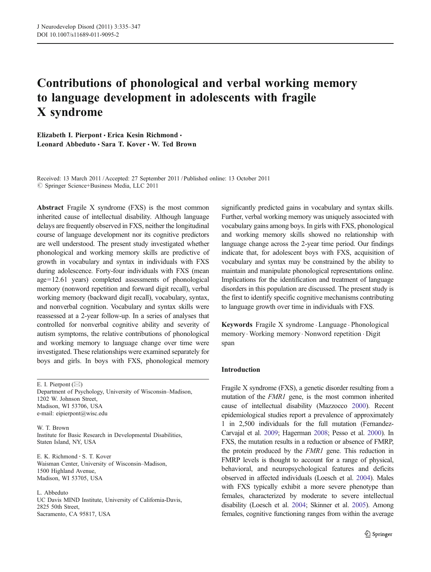# Contributions of phonological and verbal working memory to language development in adolescents with fragile X syndrome

Elizabeth I. Pierpont · Erica Kesin Richmond · Leonard Abbeduto · Sara T. Kover · W. Ted Brown

Received: 13 March 2011 /Accepted: 27 September 2011 / Published online: 13 October 2011  $©$  Springer Science+Business Media, LLC 2011

Abstract Fragile X syndrome (FXS) is the most common inherited cause of intellectual disability. Although language delays are frequently observed in FXS, neither the longitudinal course of language development nor its cognitive predictors are well understood. The present study investigated whether phonological and working memory skills are predictive of growth in vocabulary and syntax in individuals with FXS during adolescence. Forty-four individuals with FXS (mean age=12.61 years) completed assessments of phonological memory (nonword repetition and forward digit recall), verbal working memory (backward digit recall), vocabulary, syntax, and nonverbal cognition. Vocabulary and syntax skills were reassessed at a 2-year follow-up. In a series of analyses that controlled for nonverbal cognitive ability and severity of autism symptoms, the relative contributions of phonological and working memory to language change over time were investigated. These relationships were examined separately for boys and girls. In boys with FXS, phonological memory

E. I. Pierpont  $(\boxtimes)$ Department of Psychology, University of Wisconsin–Madison, 1202 W. Johnson Street, Madison, WI 53706, USA e-mail: eipierpont@wisc.edu

W. T. Brown Institute for Basic Research in Developmental Disabilities, Staten Island, NY, USA

E. K. Richmond : S. T. Kover Waisman Center, University of Wisconsin–Madison, 1500 Highland Avenue, Madison, WI 53705, USA

L. Abbeduto UC Davis MIND Institute, University of California-Davis, 2825 50th Street, Sacramento, CA 95817, USA

significantly predicted gains in vocabulary and syntax skills. Further, verbal working memory was uniquely associated with vocabulary gains among boys. In girls with FXS, phonological and working memory skills showed no relationship with language change across the 2-year time period. Our findings indicate that, for adolescent boys with FXS, acquisition of vocabulary and syntax may be constrained by the ability to maintain and manipulate phonological representations online. Implications for the identification and treatment of language disorders in this population are discussed. The present study is the first to identify specific cognitive mechanisms contributing to language growth over time in individuals with FXS.

Keywords Fragile X syndrome . Language . Phonological memory. Working memory. Nonword repetition . Digit span

# Introduction

Fragile X syndrome (FXS), a genetic disorder resulting from a mutation of the FMR1 gene, is the most common inherited cause of intellectual disability (Mazzocco [2000\)](#page-12-0). Recent epidemiological studies report a prevalence of approximately 1 in 2,500 individuals for the full mutation (Fernandez-Carvajal et al. [2009](#page-11-0); Hagerman [2008](#page-11-0); Pesso et al. [2000](#page-12-0)). In FXS, the mutation results in a reduction or absence of FMRP, the protein produced by the FMR1 gene. This reduction in FMRP levels is thought to account for a range of physical, behavioral, and neuropsychological features and deficits observed in affected individuals (Loesch et al. [2004\)](#page-12-0). Males with FXS typically exhibit a more severe phenotype than females, characterized by moderate to severe intellectual disability (Loesch et al. [2004;](#page-12-0) Skinner et al. [2005\)](#page-12-0). Among females, cognitive functioning ranges from within the average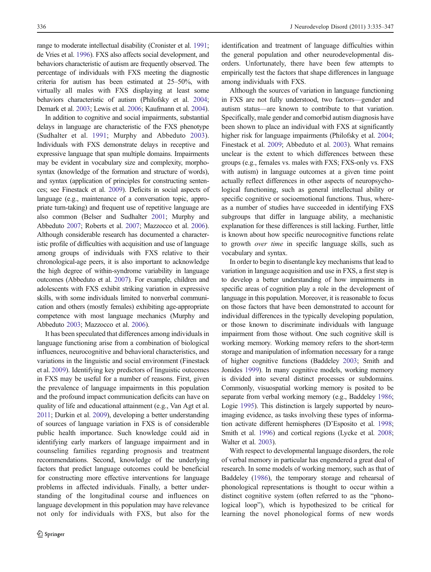range to moderate intellectual disability (Cronister et al. [1991](#page-11-0); de Vries et al. [1996\)](#page-11-0). FXS also affects social development, and behaviors characteristic of autism are frequently observed. The percentage of individuals with FXS meeting the diagnostic criteria for autism has been estimated at 25–50%, with virtually all males with FXS displaying at least some behaviors characteristic of autism (Philofsky et al. [2004](#page-12-0); Demark et al. [2003](#page-11-0); Lewis et al. [2006](#page-12-0); Kaufmann et al. [2004\)](#page-12-0).

In addition to cognitive and social impairments, substantial delays in language are characteristic of the FXS phenotype (Sudhalter et al. [1991;](#page-12-0) Murphy and Abbeduto [2003](#page-12-0)). Individuals with FXS demonstrate delays in receptive and expressive language that span multiple domains. Impairments may be evident in vocabulary size and complexity, morphosyntax (knowledge of the formation and structure of words), and syntax (application of principles for constructing sentences; see Finestack et al. [2009](#page-11-0)). Deficits in social aspects of language (e.g., maintenance of a conversation topic, appropriate turn-taking) and frequent use of repetitive language are also common (Belser and Sudhalter [2001;](#page-11-0) Murphy and Abbeduto [2007;](#page-12-0) Roberts et al. [2007;](#page-12-0) Mazzocco et al. [2006\)](#page-12-0). Although considerable research has documented a characteristic profile of difficulties with acquisition and use of language among groups of individuals with FXS relative to their chronological-age peers, it is also important to acknowledge the high degree of within-syndrome variability in language outcomes (Abbeduto et al. [2007](#page-10-0)). For example, children and adolescents with FXS exhibit striking variation in expressive skills, with some individuals limited to nonverbal communication and others (mostly females) exhibiting age-appropriate competence with most language mechanics (Murphy and Abbeduto [2003](#page-12-0); Mazzocco et al. [2006](#page-12-0)).

It has been speculated that differences among individuals in language functioning arise from a combination of biological influences, neurocognitive and behavioral characteristics, and variations in the linguistic and social environment (Finestack et al. [2009\)](#page-11-0). Identifying key predictors of linguistic outcomes in FXS may be useful for a number of reasons. First, given the prevalence of language impairments in this population and the profound impact communication deficits can have on quality of life and educational attainment (e.g., Van Agt et al. [2011](#page-12-0); Durkin et al. [2009\)](#page-11-0), developing a better understanding of sources of language variation in FXS is of considerable public health importance. Such knowledge could aid in identifying early markers of language impairment and in counseling families regarding prognosis and treatment recommendations. Second, knowledge of the underlying factors that predict language outcomes could be beneficial for constructing more effective interventions for language problems in affected individuals. Finally, a better understanding of the longitudinal course and influences on language development in this population may have relevance not only for individuals with FXS, but also for the identification and treatment of language difficulties within the general population and other neurodevelopmental disorders. Unfortunately, there have been few attempts to empirically test the factors that shape differences in language among individuals with FXS.

Although the sources of variation in language functioning in FXS are not fully understood, two factors—gender and autism status—are known to contribute to that variation. Specifically, male gender and comorbid autism diagnosis have been shown to place an individual with FXS at significantly higher risk for language impairments (Philofsky et al. [2004;](#page-12-0) Finestack et al. [2009](#page-11-0); Abbeduto et al. [2003](#page-10-0)). What remains unclear is the extent to which differences between these groups (e.g., females vs. males with FXS; FXS-only vs. FXS with autism) in language outcomes at a given time point actually reflect differences in other aspects of neuropsychological functioning, such as general intellectual ability or specific cognitive or socioemotional functions. Thus, whereas a number of studies have succeeded in identifying FXS subgroups that differ in language ability, a mechanistic explanation for these differences is still lacking. Further, little is known about how specific neurocognitive functions relate to growth over time in specific language skills, such as vocabulary and syntax.

In order to begin to disentangle key mechanisms that lead to variation in language acquisition and use in FXS, a first step is to develop a better understanding of how impairments in specific areas of cognition play a role in the development of language in this population. Moreover, it is reasonable to focus on those factors that have been demonstrated to account for individual differences in the typically developing population, or those known to discriminate individuals with language impairment from those without. One such cognitive skill is working memory. Working memory refers to the short-term storage and manipulation of information necessary for a range of higher cognitive functions (Baddeley [2003](#page-11-0); Smith and Jonides [1999\)](#page-12-0). In many cognitive models, working memory is divided into several distinct processes or subdomains. Commonly, visuospatial working memory is posited to be separate from verbal working memory (e.g., Baddeley [1986;](#page-11-0) Logie [1995](#page-12-0)). This distinction is largely supported by neuroimaging evidence, as tasks involving these types of information activate different hemispheres (D'Esposito et al. [1998;](#page-11-0) Smith et al. [1996\)](#page-12-0) and cortical regions (Lycke et al. [2008;](#page-12-0) Walter et al. [2003](#page-12-0)).

With respect to developmental language disorders, the role of verbal memory in particular has engendered a great deal of research. In some models of working memory, such as that of Baddeley ([1986](#page-11-0)), the temporary storage and rehearsal of phonological representations is thought to occur within a distinct cognitive system (often referred to as the "phonological loop"), which is hypothesized to be critical for learning the novel phonological forms of new words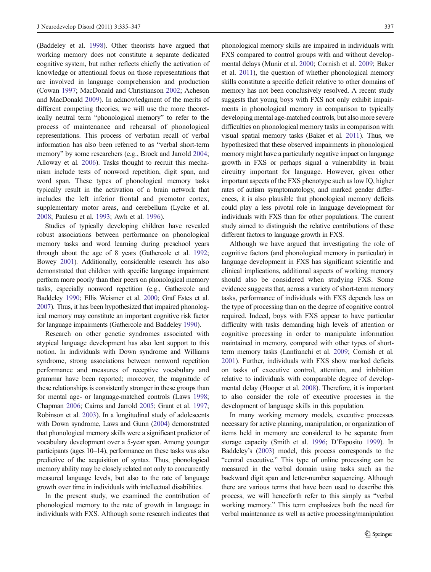(Baddeley et al. [1998\)](#page-11-0). Other theorists have argued that working memory does not constitute a separate dedicated cognitive system, but rather reflects chiefly the activation of knowledge or attentional focus on those representations that are involved in language comprehension and production (Cowan [1997;](#page-11-0) MacDonald and Christianson [2002](#page-12-0); Acheson and MacDonald [2009](#page-11-0)). In acknowledgment of the merits of different competing theories, we will use the more theoretically neutral term "phonological memory" to refer to the process of maintenance and rehearsal of phonological representations. This process of verbatim recall of verbal information has also been referred to as "verbal short-term memory" by some researchers (e.g., Brock and Jarrold [2004](#page-11-0); Alloway et al. [2006](#page-11-0)). Tasks thought to recruit this mechanism include tests of nonword repetition, digit span, and word span. These types of phonological memory tasks typically result in the activation of a brain network that includes the left inferior frontal and premotor cortex, supplementary motor areas, and cerebellum (Lycke et al. [2008;](#page-12-0) Paulesu et al. [1993](#page-12-0); Awh et al. [1996\)](#page-11-0).

Studies of typically developing children have revealed robust associations between performance on phonological memory tasks and word learning during preschool years through about the age of 8 years (Gathercole et al. [1992](#page-11-0); Bowey [2001](#page-11-0)). Additionally, considerable research has also demonstrated that children with specific language impairment perform more poorly than their peers on phonological memory tasks, especially nonword repetition (e.g., Gathercole and Baddeley [1990;](#page-11-0) Ellis Weismer et al. [2000;](#page-11-0) Graf Estes et al. [2007](#page-11-0)). Thus, it has been hypothesized that impaired phonological memory may constitute an important cognitive risk factor for language impairments (Gathercole and Baddeley [1990\)](#page-11-0).

Research on other genetic syndromes associated with atypical language development has also lent support to this notion. In individuals with Down syndrome and Williams syndrome, strong associations between nonword repetition performance and measures of receptive vocabulary and grammar have been reported; moreover, the magnitude of these relationships is consistently stronger in these groups than for mental age- or language-matched controls (Laws [1998](#page-12-0); Chapman [2006;](#page-11-0) Cairns and Jarrold [2005](#page-11-0); Grant et al. [1997](#page-11-0); Robinson et al. [2003](#page-12-0)). In a longitudinal study of adolescents with Down syndrome, Laws and Gunn [\(2004](#page-12-0)) demonstrated that phonological memory skills were a significant predictor of vocabulary development over a 5-year span. Among younger participants (ages 10–14), performance on these tasks was also predictive of the acquisition of syntax. Thus, phonological memory ability may be closely related not only to concurrently measured language levels, but also to the rate of language growth over time in individuals with intellectual disabilities.

In the present study, we examined the contribution of phonological memory to the rate of growth in language in individuals with FXS. Although some research indicates that

phonological memory skills are impaired in individuals with FXS compared to control groups with and without developmental delays (Munir et al. [2000](#page-12-0); Cornish et al. [2009](#page-11-0); Baker et al. [2011\)](#page-11-0), the question of whether phonological memory skills constitute a specific deficit relative to other domains of memory has not been conclusively resolved. A recent study suggests that young boys with FXS not only exhibit impairments in phonological memory in comparison to typically developing mental age-matched controls, but also more severe difficulties on phonological memory tasks in comparison with visual–spatial memory tasks (Baker et al. [2011](#page-11-0)). Thus, we hypothesized that these observed impairments in phonological memory might have a particularly negative impact on language growth in FXS or perhaps signal a vulnerability in brain circuitry important for language. However, given other important aspects of the FXS phenotype such as low IQ, higher rates of autism symptomatology, and marked gender differences, it is also plausible that phonological memory deficits could play a less pivotal role in language development for individuals with FXS than for other populations. The current study aimed to distinguish the relative contributions of these different factors to language growth in FXS.

Although we have argued that investigating the role of cognitive factors (and phonological memory in particular) in language development in FXS has significant scientific and clinical implications, additional aspects of working memory should also be considered when studying FXS. Some evidence suggests that, across a variety of short-term memory tasks, performance of individuals with FXS depends less on the type of processing than on the degree of cognitive control required. Indeed, boys with FXS appear to have particular difficulty with tasks demanding high levels of attention or cognitive processing in order to manipulate information maintained in memory, compared with other types of shortterm memory tasks (Lanfranchi et al. [2009;](#page-12-0) Cornish et al. [2001\)](#page-11-0). Further, individuals with FXS show marked deficits on tasks of executive control, attention, and inhibition relative to individuals with comparable degree of developmental delay (Hooper et al. [2008\)](#page-12-0). Therefore, it is important to also consider the role of executive processes in the development of language skills in this population.

In many working memory models, executive processes necessary for active planning, manipulation, or organization of items held in memory are considered to be separate from storage capacity (Smith et al. [1996;](#page-12-0) D'Esposito [1999](#page-11-0)). In Baddeley's [\(2003](#page-11-0)) model, this process corresponds to the "central executive." This type of online processing can be measured in the verbal domain using tasks such as the backward digit span and letter-number sequencing. Although there are various terms that have been used to describe this process, we will henceforth refer to this simply as "verbal working memory." This term emphasizes both the need for verbal maintenance as well as active processing/manipulation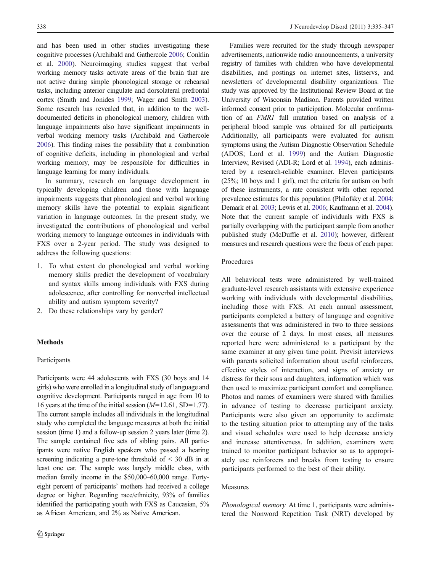and has been used in other studies investigating these cognitive processes (Archibald and Gathercole [2006;](#page-11-0) Conklin et al. [2000\)](#page-11-0). Neuroimaging studies suggest that verbal working memory tasks activate areas of the brain that are not active during simple phonological storage or rehearsal tasks, including anterior cingulate and dorsolateral prefrontal cortex (Smith and Jonides [1999](#page-12-0); Wager and Smith [2003\)](#page-12-0). Some research has revealed that, in addition to the welldocumented deficits in phonological memory, children with language impairments also have significant impairments in verbal working memory tasks (Archibald and Gathercole [2006](#page-11-0)). This finding raises the possibility that a combination of cognitive deficits, including in phonological and verbal working memory, may be responsible for difficulties in language learning for many individuals.

In summary, research on language development in typically developing children and those with language impairments suggests that phonological and verbal working memory skills have the potential to explain significant variation in language outcomes. In the present study, we investigated the contributions of phonological and verbal working memory to language outcomes in individuals with FXS over a 2-year period. The study was designed to address the following questions:

- 1. To what extent do phonological and verbal working memory skills predict the development of vocabulary and syntax skills among individuals with FXS during adolescence, after controlling for nonverbal intellectual ability and autism symptom severity?
- 2. Do these relationships vary by gender?

# Methods

#### Participants

Participants were 44 adolescents with FXS (30 boys and 14 girls) who were enrolled in a longitudinal study of language and cognitive development. Participants ranged in age from 10 to 16 years at the time of the initial session  $(M=12.61, SD=1.77)$ . The current sample includes all individuals in the longitudinal study who completed the language measures at both the initial session (time 1) and a follow-up session 2 years later (time 2). The sample contained five sets of sibling pairs. All participants were native English speakers who passed a hearing screening indicating a pure-tone threshold of  $\leq$  30 dB in at least one ear. The sample was largely middle class, with median family income in the \$50,000–60,000 range. Fortyeight percent of participants' mothers had received a college degree or higher. Regarding race/ethnicity, 93% of families identified the participating youth with FXS as Caucasian, 5% as African American, and 2% as Native American.

Families were recruited for the study through newspaper advertisements, nationwide radio announcements, a university registry of families with children who have developmental disabilities, and postings on internet sites, listservs, and newsletters of developmental disability organizations. The study was approved by the Institutional Review Board at the University of Wisconsin–Madison. Parents provided written informed consent prior to participation. Molecular confirmation of an FMR1 full mutation based on analysis of a peripheral blood sample was obtained for all participants. Additionally, all participants were evaluated for autism symptoms using the Autism Diagnostic Observation Schedule (ADOS; Lord et al. [1999\)](#page-12-0) and the Autism Diagnostic Interview, Revised (ADI-R; Lord et al. [1994](#page-12-0)), each administered by a research-reliable examiner. Eleven participants (25%; 10 boys and 1 girl), met the criteria for autism on both of these instruments, a rate consistent with other reported prevalence estimates for this population (Philofsky et al. [2004;](#page-12-0) Demark et al. [2003;](#page-11-0) Lewis et al. [2006;](#page-12-0) Kaufmann et al. [2004\)](#page-12-0). Note that the current sample of individuals with FXS is partially overlapping with the participant sample from another published study (McDuffie et al. [2010](#page-12-0)); however, different measures and research questions were the focus of each paper.

# Procedures

All behavioral tests were administered by well-trained graduate-level research assistants with extensive experience working with individuals with developmental disabilities, including those with FXS. At each annual assessment, participants completed a battery of language and cognitive assessments that was administered in two to three sessions over the course of 2 days. In most cases, all measures reported here were administered to a participant by the same examiner at any given time point. Previsit interviews with parents solicited information about useful reinforcers, effective styles of interaction, and signs of anxiety or distress for their sons and daughters, information which was then used to maximize participant comfort and compliance. Photos and names of examiners were shared with families in advance of testing to decrease participant anxiety. Participants were also given an opportunity to acclimate to the testing situation prior to attempting any of the tasks and visual schedules were used to help decrease anxiety and increase attentiveness. In addition, examiners were trained to monitor participant behavior so as to appropriately use reinforcers and breaks from testing to ensure participants performed to the best of their ability.

## Measures

Phonological memory At time 1, participants were administered the Nonword Repetition Task (NRT) developed by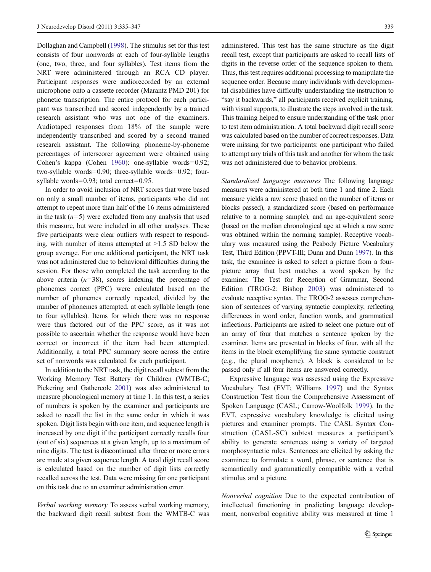Dollaghan and Campbell [\(1998\)](#page-11-0). The stimulus set for this test consists of four nonwords at each of four-syllable lengths (one, two, three, and four syllables). Test items from the NRT were administered through an RCA CD player. Participant responses were audiorecorded by an external microphone onto a cassette recorder (Marantz PMD 201) for phonetic transcription. The entire protocol for each participant was transcribed and scored independently by a trained research assistant who was not one of the examiners. Audiotaped responses from 18% of the sample were independently transcribed and scored by a second trained research assistant. The following phoneme-by-phoneme percentages of interscorer agreement were obtained using Cohen's kappa (Cohen [1960](#page-11-0)): one-syllable words=0.92; two-syllable words=0.90; three-syllable words=0.92; foursyllable words=0.93; total correct=0.95.

In order to avoid inclusion of NRT scores that were based on only a small number of items, participants who did not attempt to repeat more than half of the 16 items administered in the task  $(n=5)$  were excluded from any analysis that used this measure, but were included in all other analyses. These five participants were clear outliers with respect to responding, with number of items attempted at >1.5 SD below the group average. For one additional participant, the NRT task was not administered due to behavioral difficulties during the session. For those who completed the task according to the above criteria  $(n=38)$ , scores indexing the percentage of phonemes correct (PPC) were calculated based on the number of phonemes correctly repeated, divided by the number of phonemes attempted, at each syllable length (one to four syllables). Items for which there was no response were thus factored out of the PPC score, as it was not possible to ascertain whether the response would have been correct or incorrect if the item had been attempted. Additionally, a total PPC summary score across the entire set of nonwords was calculated for each participant.

In addition to the NRT task, the digit recall subtest from the Working Memory Test Battery for Children (WMTB-C; Pickering and Gathercole [2001](#page-12-0)) was also administered to measure phonological memory at time 1. In this test, a series of numbers is spoken by the examiner and participants are asked to recall the list in the same order in which it was spoken. Digit lists begin with one item, and sequence length is increased by one digit if the participant correctly recalls four (out of six) sequences at a given length, up to a maximum of nine digits. The test is discontinued after three or more errors are made at a given sequence length. A total digit recall score is calculated based on the number of digit lists correctly recalled across the test. Data were missing for one participant on this task due to an examiner administration error.

Verbal working memory To assess verbal working memory, the backward digit recall subtest from the WMTB-C was

administered. This test has the same structure as the digit recall test, except that participants are asked to recall lists of digits in the reverse order of the sequence spoken to them. Thus, this test requires additional processing to manipulate the sequence order. Because many individuals with developmental disabilities have difficulty understanding the instruction to "say it backwards," all participants received explicit training, with visual supports, to illustrate the steps involved in the task. This training helped to ensure understanding of the task prior to test item administration. A total backward digit recall score was calculated based on the number of correct responses. Data were missing for two participants: one participant who failed to attempt any trials of this task and another for whom the task was not administered due to behavior problems.

Standardized language measures The following language measures were administered at both time 1 and time 2. Each measure yields a raw score (based on the number of items or blocks passed), a standardized score (based on performance relative to a norming sample), and an age-equivalent score (based on the median chronological age at which a raw score was obtained within the norming sample). Receptive vocabulary was measured using the Peabody Picture Vocabulary Test, Third Edition (PPVT-III; Dunn and Dunn [1997](#page-11-0)). In this task, the examinee is asked to select a picture from a fourpicture array that best matches a word spoken by the examiner. The Test for Reception of Grammar, Second Edition (TROG-2; Bishop [2003](#page-11-0)) was administered to evaluate receptive syntax. The TROG-2 assesses comprehension of sentences of varying syntactic complexity, reflecting differences in word order, function words, and grammatical inflections. Participants are asked to select one picture out of an array of four that matches a sentence spoken by the examiner. Items are presented in blocks of four, with all the items in the block exemplifying the same syntactic construct (e.g., the plural morpheme). A block is considered to be passed only if all four items are answered correctly.

Expressive language was assessed using the Expressive Vocabulary Test (EVT; Williams [1997](#page-12-0)) and the Syntax Construction Test from the Comprehensive Assessment of Spoken Language (CASL; Carrow-Woolfolk [1999\)](#page-11-0). In the EVT, expressive vocabulary knowledge is elicited using pictures and examiner prompts. The CASL Syntax Construction (CASL-SC) subtest measures a participant's ability to generate sentences using a variety of targeted morphosyntactic rules. Sentences are elicited by asking the examinee to formulate a word, phrase, or sentence that is semantically and grammatically compatible with a verbal stimulus and a picture.

Nonverbal cognition Due to the expected contribution of intellectual functioning in predicting language development, nonverbal cognitive ability was measured at time 1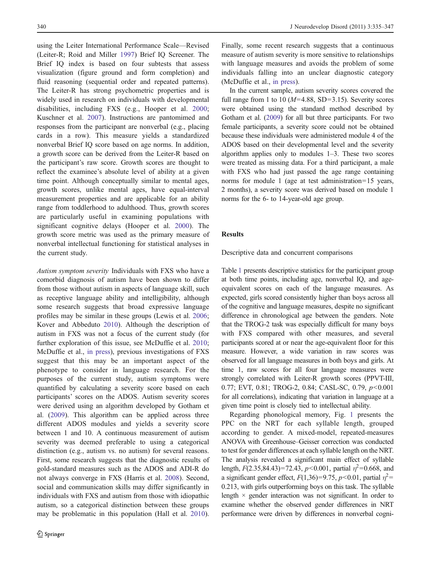using the Leiter International Performance Scale—Revised (Leiter-R; Roid and Miller [1997\)](#page-12-0) Brief IQ Screener. The Brief IQ index is based on four subtests that assess visualization (figure ground and form completion) and fluid reasoning (sequential order and repeated patterns). The Leiter-R has strong psychometric properties and is widely used in research on individuals with developmental disabilities, including FXS (e.g., Hooper et al. [2000](#page-12-0); Kuschner et al. [2007\)](#page-12-0). Instructions are pantomimed and responses from the participant are nonverbal (e.g., placing cards in a row). This measure yields a standardized nonverbal Brief IQ score based on age norms. In addition, a growth score can be derived from the Leiter-R based on the participant's raw score. Growth scores are thought to reflect the examinee's absolute level of ability at a given time point. Although conceptually similar to mental ages, growth scores, unlike mental ages, have equal-interval measurement properties and are applicable for an ability range from toddlerhood to adulthood. Thus, growth scores are particularly useful in examining populations with significant cognitive delays (Hooper et al. [2000\)](#page-12-0). The growth score metric was used as the primary measure of nonverbal intellectual functioning for statistical analyses in the current study.

Autism symptom severity Individuals with FXS who have a comorbid diagnosis of autism have been shown to differ from those without autism in aspects of language skill, such as receptive language ability and intelligibility, although some research suggests that broad expressive language profiles may be similar in these groups (Lewis et al. [2006](#page-12-0); Kover and Abbeduto [2010](#page-12-0)). Although the description of autism in FXS was not a focus of the current study (for further exploration of this issue, see McDuffie et al. [2010](#page-12-0); McDuffie et al., [in press](#page-12-0)), previous investigations of FXS suggest that this may be an important aspect of the phenotype to consider in language research. For the purposes of the current study, autism symptoms were quantified by calculating a severity score based on each participants' scores on the ADOS. Autism severity scores were derived using an algorithm developed by Gotham et al. ([2009\)](#page-11-0). This algorithm can be applied across three different ADOS modules and yields a severity score between 1 and 10. A continuous measurement of autism severity was deemed preferable to using a categorical distinction (e.g., autism vs. no autism) for several reasons. First, some research suggests that the diagnostic results of gold-standard measures such as the ADOS and ADI-R do not always converge in FXS (Harris et al. [2008\)](#page-11-0). Second, social and communication skills may differ significantly in individuals with FXS and autism from those with idiopathic autism, so a categorical distinction between these groups may be problematic in this population (Hall et al. [2010](#page-11-0)).

Finally, some recent research suggests that a continuous measure of autism severity is more sensitive to relationships with language measures and avoids the problem of some individuals falling into an unclear diagnostic category (McDuffie et al., [in press](#page-12-0)).

In the current sample, autism severity scores covered the full range from 1 to 10 ( $M=4.88$ , SD=3.15). Severity scores were obtained using the standard method described by Gotham et al. [\(2009](#page-11-0)) for all but three participants. For two female participants, a severity score could not be obtained because these individuals were administered module 4 of the ADOS based on their developmental level and the severity algorithm applies only to modules 1–3. These two scores were treated as missing data. For a third participant, a male with FXS who had just passed the age range containing norms for module 1 (age at test administration=15 years, 2 months), a severity score was derived based on module 1 norms for the 6- to 14-year-old age group.

#### Results

Descriptive data and concurrent comparisons

Table [1](#page-6-0) presents descriptive statistics for the participant group at both time points, including age, nonverbal IQ, and ageequivalent scores on each of the language measures. As expected, girls scored consistently higher than boys across all of the cognitive and language measures, despite no significant difference in chronological age between the genders. Note that the TROG-2 task was especially difficult for many boys with FXS compared with other measures, and several participants scored at or near the age-equivalent floor for this measure. However, a wide variation in raw scores was observed for all language measures in both boys and girls. At time 1, raw scores for all four language measures were strongly correlated with Leiter-R growth scores (PPVT-III, 0.77; EVT, 0.81; TROG-2, 0.84; CASL-SC, 0.79,  $p<0.001$ for all correlations), indicating that variation in language at a given time point is closely tied to intellectual ability.

Regarding phonological memory, Fig. [1](#page-6-0) presents the PPC on the NRT for each syllable length, grouped according to gender. A mixed-model, repeated-measures ANOVA with Greenhouse–Geisser correction was conducted to test for gender differences at each syllable length on the NRT. The analysis revealed a significant main effect of syllable length,  $F(2.35,84.43) = 72.43$ ,  $p < 0.001$ , partial  $\eta^2 = 0.668$ , and a significant gender effect,  $F(1,36)=9.75$ ,  $p<0.01$ , partial  $\eta^2$ 0.213, with girls outperforming boys on this task. The syllable length  $\times$  gender interaction was not significant. In order to examine whether the observed gender differences in NRT performance were driven by differences in nonverbal cogni-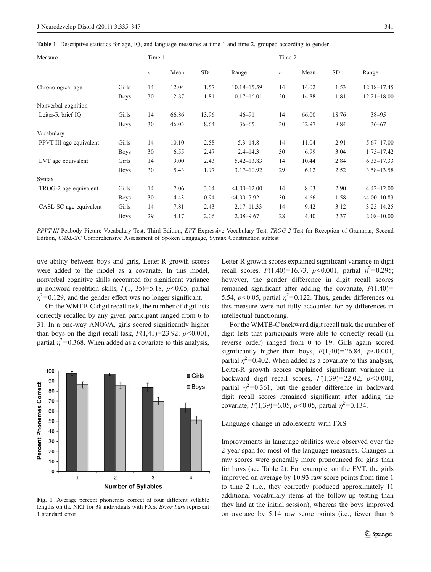<span id="page-6-0"></span>Table 1 Descriptive statistics for age, IQ, and language measures at time 1 and time 2, grouped according to gender

| Measure                 |             | Time 1           |       |           |                 | Time 2           |       |           |                  |
|-------------------------|-------------|------------------|-------|-----------|-----------------|------------------|-------|-----------|------------------|
|                         |             | $\boldsymbol{n}$ | Mean  | <b>SD</b> | Range           | $\boldsymbol{n}$ | Mean  | <b>SD</b> | Range            |
| Chronological age       | Girls       | 14               | 12.04 | 1.57      | $10.18 - 15.59$ | 14               | 14.02 | 1.53      | 12.18-17.45      |
|                         | <b>Boys</b> | 30               | 12.87 | 1.81      | $10.17 - 16.01$ | 30               | 14.88 | 1.81      | $12.21 - 18.00$  |
| Nonverbal cognition     |             |                  |       |           |                 |                  |       |           |                  |
| Leiter-R brief IQ       | Girls       | 14               | 66.86 | 13.96     | $46 - 91$       | 14               | 66.00 | 18.76     | $38 - 95$        |
|                         | <b>Boys</b> | 30               | 46.03 | 8.64      | $36 - 65$       | 30               | 42.97 | 8.84      | $36 - 67$        |
| Vocabulary              |             |                  |       |           |                 |                  |       |           |                  |
| PPVT-III age equivalent | Girls       | 14               | 10.10 | 2.58      | $5.3 - 14.8$    | 14               | 11.04 | 2.91      | $5.67 - 17.00$   |
|                         | <b>Boys</b> | 30               | 6.55  | 2.47      | $2.4 - 14.3$    | 30               | 6.99  | 3.04      | $1.75 - 17.42$   |
| EVT age equivalent      | Girls       | 14               | 9.00  | 2.43      | $5.42 - 13.83$  | 14               | 10.44 | 2.84      | $6.33 - 17.33$   |
|                         | <b>Boys</b> | 30               | 5.43  | 1.97      | $3.17 - 10.92$  | 29               | 6.12  | 2.52      | 3.58-13.58       |
| Syntax                  |             |                  |       |           |                 |                  |       |           |                  |
| TROG-2 age equivalent   | Girls       | 14               | 7.06  | 3.04      | $<$ 4.00-12.00  | 14               | 8.03  | 2.90      | $4.42 - 12.00$   |
|                         | <b>Boys</b> | 30               | 4.43  | 0.94      | $<$ 4.00-7.92   | 30               | 4.66  | 1.58      | $< 4.00 - 10.83$ |
| CASL-SC age equivalent  | Girls       | 14               | 7.81  | 2.43      | $2.17 - 11.33$  | 14               | 9.42  | 3.12      | $3.25 - 14.25$   |
|                         | <b>Boys</b> | 29               | 4.17  | 2.06      | $2.08 - 9.67$   | 28               | 4.40  | 2.37      | $2.08 - 10.00$   |

PPVT-III Peabody Picture Vocabulary Test, Third Edition, EVT Expressive Vocabulary Test, TROG-2 Test for Reception of Grammar, Second Edition, CASL-SC Comprehensive Assessment of Spoken Language, Syntax Construction subtest

tive ability between boys and girls, Leiter-R growth scores were added to the model as a covariate. In this model, nonverbal cognitive skills accounted for significant variance in nonword repetition skills,  $F(1, 35)=5.18$ ,  $p<0.05$ , partial  $\eta^2$ =0.129, and the gender effect was no longer significant.

On the WMTB-C digit recall task, the number of digit lists correctly recalled by any given participant ranged from 6 to 31. In a one-way ANOVA, girls scored significantly higher than boys on the digit recall task,  $F(1,41)=23.92$ ,  $p<0.001$ , partial  $\eta^2$ =0.368. When added as a covariate to this analysis,



Fig. 1 Average percent phonemes correct at four different syllable lengths on the NRT for 38 individuals with FXS. Error bars represent 1 standard error

Leiter-R growth scores explained significant variance in digit recall scores,  $F(1,40)=16.73$ ,  $p<0.001$ , partial  $\eta^2=0.295$ ; however, the gender difference in digit recall scores remained significant after adding the covariate,  $F(1,40)$ = 5.54,  $p$ <0.05, partial  $\eta^2$ =0.122. Thus, gender differences on this measure were not fully accounted for by differences in intellectual functioning.

For the WMTB-C backward digit recall task, the number of digit lists that participants were able to correctly recall (in reverse order) ranged from 0 to 19. Girls again scored significantly higher than boys,  $F(1,40)=26.84$ ,  $p<0.001$ , partial  $\eta^2$ =0.402. When added as a covariate to this analysis, Leiter-R growth scores explained significant variance in backward digit recall scores,  $F(1,39)=22.02$ ,  $p<0.001$ , partial  $\eta^2$ =0.361, but the gender difference in backward digit recall scores remained significant after adding the covariate,  $F(1,39)=6.05$ ,  $p<0.05$ , partial  $\eta^2=0.134$ .

# Language change in adolescents with FXS

Improvements in language abilities were observed over the 2-year span for most of the language measures. Changes in raw scores were generally more pronounced for girls than for boys (see Table [2\)](#page-7-0). For example, on the EVT, the girls improved on average by 10.93 raw score points from time 1 to time 2 (i.e., they correctly produced approximately 11 additional vocabulary items at the follow-up testing than they had at the initial session), whereas the boys improved on average by 5.14 raw score points (i.e., fewer than 6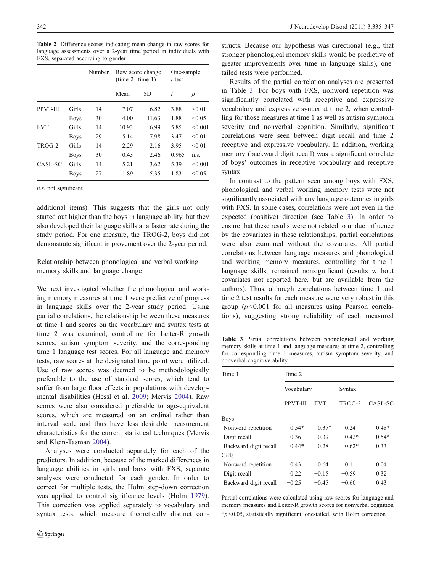|            |             | Number | Raw score change<br>$(time 2-time 1)$ |           | One-sample<br>$t$ test |         |
|------------|-------------|--------|---------------------------------------|-----------|------------------------|---------|
|            |             |        | Mean                                  | <b>SD</b> | t                      | p       |
| PPVT-III   | Girls       | 14     | 7.07                                  | 6.82      | 3.88                   | < 0.01  |
|            | <b>Boys</b> | 30     | 4.00                                  | 11.63     | 1.88                   | < 0.05  |
| <b>EVT</b> | Girls       | 14     | 10.93                                 | 6.99      | 5.85                   | < 0.001 |
|            | <b>Boys</b> | 29     | 5.14                                  | 7.98      | 3.47                   | < 0.01  |
| TROG-2     | Girls       | 14     | 2.29                                  | 2.16      | 3.95                   | < 0.01  |
|            | <b>Boys</b> | 30     | 0.43                                  | 2.46      | 0.965                  | n.s.    |
| CASL-SC    | Girls       | 14     | 5.21                                  | 3.62      | 5.39                   | < 0.001 |
|            | <b>Boys</b> | 27     | 1.89                                  | 5.35      | 1.83                   | < 0.05  |

<span id="page-7-0"></span>Table 2 Difference scores indicating mean change in raw scores for language assessments over a 2-year time period in individuals with FXS, separated according to gender

n.s. not significant

additional items). This suggests that the girls not only started out higher than the boys in language ability, but they also developed their language skills at a faster rate during the study period. For one measure, the TROG-2, boys did not demonstrate significant improvement over the 2-year period.

# Relationship between phonological and verbal working memory skills and language change

We next investigated whether the phonological and working memory measures at time 1 were predictive of progress in language skills over the 2-year study period. Using partial correlations, the relationship between these measures at time 1 and scores on the vocabulary and syntax tests at time 2 was examined, controlling for Leiter-R growth scores, autism symptom severity, and the corresponding time 1 language test scores. For all language and memory tests, raw scores at the designated time point were utilized. Use of raw scores was deemed to be methodologically preferable to the use of standard scores, which tend to suffer from large floor effects in populations with developmental disabilities (Hessl et al. [2009](#page-11-0); Mervis [2004](#page-12-0)). Raw scores were also considered preferable to age-equivalent scores, which are measured on an ordinal rather than interval scale and thus have less desirable measurement characteristics for the current statistical techniques (Mervis and Klein-Tasman [2004\)](#page-12-0).

Analyses were conducted separately for each of the predictors. In addition, because of the marked differences in language abilities in girls and boys with FXS, separate analyses were conducted for each gender. In order to correct for multiple tests, the Holm step-down correction was applied to control significance levels (Holm [1979](#page-11-0)). This correction was applied separately to vocabulary and syntax tests, which measure theoretically distinct constructs. Because our hypothesis was directional (e.g., that stronger phonological memory skills would be predictive of greater improvements over time in language skills), onetailed tests were performed.

Results of the partial correlation analyses are presented in Table 3. For boys with FXS, nonword repetition was significantly correlated with receptive and expressive vocabulary and expressive syntax at time 2, when controlling for those measures at time 1 as well as autism symptom severity and nonverbal cognition. Similarly, significant correlations were seen between digit recall and time 2 receptive and expressive vocabulary. In addition, working memory (backward digit recall) was a significant correlate of boys' outcomes in receptive vocabulary and receptive syntax.

In contrast to the pattern seen among boys with FXS, phonological and verbal working memory tests were not significantly associated with any language outcomes in girls with FXS. In some cases, correlations were not even in the expected (positive) direction (see Table 3). In order to ensure that these results were not related to undue influence by the covariates in these relationships, partial correlations were also examined without the covariates. All partial correlations between language measures and phonological and working memory measures, controlling for time 1 language skills, remained nonsignificant (results without covariates not reported here, but are available from the authors). Thus, although correlations between time 1 and time 2 test results for each measure were very robust in this group  $(p<0.001$  for all measures using Pearson correlations), suggesting strong reliability of each measured

Table 3 Partial correlations between phonological and working memory skills at time 1 and language measures at time 2, controlling for corresponding time 1 measures, autism symptom severity, and nonverbal cognitive ability

| Time 1                | Time 2          |            |         |         |  |  |  |
|-----------------------|-----------------|------------|---------|---------|--|--|--|
|                       | Vocabulary      |            | Syntax  |         |  |  |  |
|                       | <b>PPVT-III</b> | <b>EVT</b> | TROG-2  | CASL-SC |  |  |  |
| <b>Boys</b>           |                 |            |         |         |  |  |  |
| Nonword repetition    | $0.54*$         | $0.37*$    | 0.24    | $0.48*$ |  |  |  |
| Digit recall          | 0.36            | 0.39       | $0.42*$ | $0.54*$ |  |  |  |
| Backward digit recall | $0.44*$         | 0.28       | $0.62*$ | 0.33    |  |  |  |
| Girls                 |                 |            |         |         |  |  |  |
| Nonword repetition    | 0.43            | $-0.64$    | 0.11    | $-0.04$ |  |  |  |
| Digit recall          | 0.22            | $-0.15$    | $-0.59$ | 0.32    |  |  |  |
| Backward digit recall | $-0.25$         | $-0.45$    | $-0.60$ | 0.43    |  |  |  |

Partial correlations were calculated using raw scores for language and memory measures and Leiter-R growth scores for nonverbal cognition  $*p<0.05$ , statistically significant, one-tailed, with Holm correction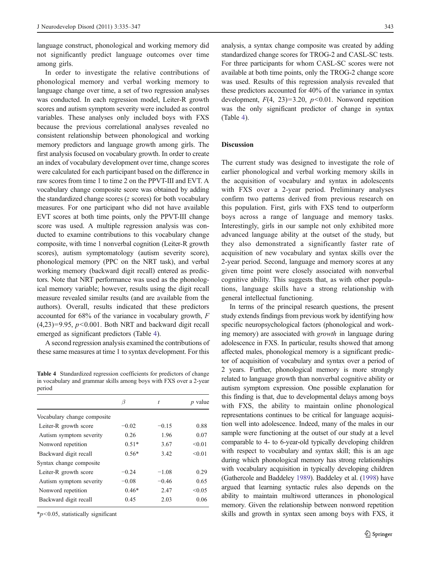language construct, phonological and working memory did not significantly predict language outcomes over time among girls.

In order to investigate the relative contributions of phonological memory and verbal working memory to language change over time, a set of two regression analyses was conducted. In each regression model, Leiter-R growth scores and autism symptom severity were included as control variables. These analyses only included boys with FXS because the previous correlational analyses revealed no consistent relationship between phonological and working memory predictors and language growth among girls. The first analysis focused on vocabulary growth. In order to create an index of vocabulary development over time, change scores were calculated for each participant based on the difference in raw scores from time 1 to time 2 on the PPVT-III and EVT. A vocabulary change composite score was obtained by adding the standardized change scores (z scores) for both vocabulary measures. For one participant who did not have available EVT scores at both time points, only the PPVT-III change score was used. A multiple regression analysis was conducted to examine contributions to this vocabulary change composite, with time 1 nonverbal cognition (Leiter-R growth scores), autism symptomatology (autism severity score), phonological memory (PPC on the NRT task), and verbal working memory (backward digit recall) entered as predictors. Note that NRT performance was used as the phonological memory variable; however, results using the digit recall measure revealed similar results (and are available from the authors). Overall, results indicated that these predictors accounted for 68% of the variance in vocabulary growth, F  $(4,23)=9.95$ ,  $p<0.001$ . Both NRT and backward digit recall emerged as significant predictors (Table 4).

A second regression analysis examined the contributions of these same measures at time 1 to syntax development. For this

Table 4 Standardized regression coefficients for predictors of change in vocabulary and grammar skills among boys with FXS over a 2-year period

|                             |         | t       | <i>p</i> value |
|-----------------------------|---------|---------|----------------|
| Vocabulary change composite |         |         |                |
| Leiter-R growth score       | $-0.02$ | $-0.15$ | 0.88           |
| Autism symptom severity     | 0.26    | 1.96    | 0.07           |
| Nonword repetition          | $0.51*$ | 3.67    | < 0.01         |
| Backward digit recall       | $0.56*$ | 3.42    | < 0.01         |
| Syntax change composite     |         |         |                |
| Leiter-R growth score       | $-0.24$ | $-1.08$ | 0.29           |
| Autism symptom severity     | $-0.08$ | $-0.46$ | 0.65           |
| Nonword repetition          | $0.46*$ | 2.47    | < 0.05         |
| Backward digit recall       | 0.45    | 2.03    | 0.06           |

 $*_{p<0.05}$ , statistically significant

analysis, a syntax change composite was created by adding standardized change scores for TROG-2 and CASL-SC tests. For three participants for whom CASL-SC scores were not available at both time points, only the TROG-2 change score was used. Results of this regression analysis revealed that these predictors accounted for 40% of the variance in syntax development,  $F(4, 23)=3.20$ ,  $p<0.01$ . Nonword repetition was the only significant predictor of change in syntax (Table 4).

# Discussion

The current study was designed to investigate the role of earlier phonological and verbal working memory skills in the acquisition of vocabulary and syntax in adolescents with FXS over a 2-year period. Preliminary analyses confirm two patterns derived from previous research on this population. First, girls with FXS tend to outperform boys across a range of language and memory tasks. Interestingly, girls in our sample not only exhibited more advanced language ability at the outset of the study, but they also demonstrated a significantly faster rate of acquisition of new vocabulary and syntax skills over the 2-year period. Second, language and memory scores at any given time point were closely associated with nonverbal cognitive ability. This suggests that, as with other populations, language skills have a strong relationship with general intellectual functioning.

In terms of the principal research questions, the present study extends findings from previous work by identifying how specific neuropsychological factors (phonological and working memory) are associated with growth in language during adolescence in FXS. In particular, results showed that among affected males, phonological memory is a significant predictor of acquisition of vocabulary and syntax over a period of 2 years. Further, phonological memory is more strongly related to language growth than nonverbal cognitive ability or autism symptom expression. One possible explanation for this finding is that, due to developmental delays among boys with FXS, the ability to maintain online phonological representations continues to be critical for language acquisition well into adolescence. Indeed, many of the males in our sample were functioning at the outset of our study at a level comparable to 4- to 6-year-old typically developing children with respect to vocabulary and syntax skill; this is an age during which phonological memory has strong relationships with vocabulary acquisition in typically developing children (Gathercole and Baddeley [1989\)](#page-11-0). Baddeley et al. ([1998](#page-11-0)) have argued that learning syntactic rules also depends on the ability to maintain multiword utterances in phonological memory. Given the relationship between nonword repetition skills and growth in syntax seen among boys with FXS, it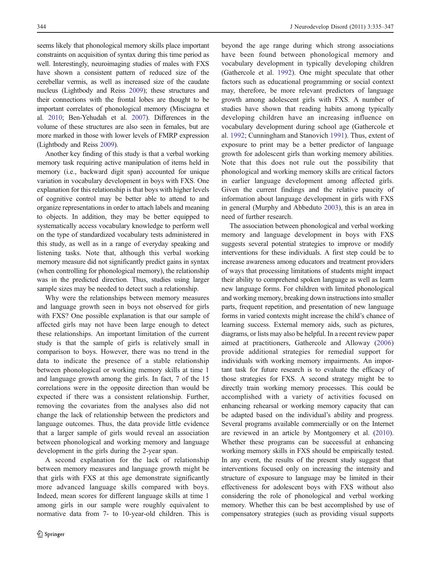seems likely that phonological memory skills place important constraints on acquisition of syntax during this time period as well. Interestingly, neuroimaging studies of males with FXS have shown a consistent pattern of reduced size of the cerebellar vermis, as well as increased size of the caudate nucleus (Lightbody and Reiss [2009\)](#page-12-0); these structures and their connections with the frontal lobes are thought to be important correlates of phonological memory (Misciagna et al. [2010;](#page-12-0) Ben-Yehudah et al. [2007](#page-11-0)). Differences in the volume of these structures are also seen in females, but are more marked in those with lower levels of FMRP expression (Lightbody and Reiss [2009\)](#page-12-0).

Another key finding of this study is that a verbal working memory task requiring active manipulation of items held in memory (i.e., backward digit span) accounted for unique variation in vocabulary development in boys with FXS. One explanation for this relationship is that boys with higher levels of cognitive control may be better able to attend to and organize representations in order to attach labels and meaning to objects. In addition, they may be better equipped to systematically access vocabulary knowledge to perform well on the type of standardized vocabulary tests administered in this study, as well as in a range of everyday speaking and listening tasks. Note that, although this verbal working memory measure did not significantly predict gains in syntax (when controlling for phonological memory), the relationship was in the predicted direction. Thus, studies using larger sample sizes may be needed to detect such a relationship.

Why were the relationships between memory measures and language growth seen in boys not observed for girls with FXS? One possible explanation is that our sample of affected girls may not have been large enough to detect these relationships. An important limitation of the current study is that the sample of girls is relatively small in comparison to boys. However, there was no trend in the data to indicate the presence of a stable relationship between phonological or working memory skills at time 1 and language growth among the girls. In fact, 7 of the 15 correlations were in the opposite direction than would be expected if there was a consistent relationship. Further, removing the covariates from the analyses also did not change the lack of relationship between the predictors and language outcomes. Thus, the data provide little evidence that a larger sample of girls would reveal an association between phonological and working memory and language development in the girls during the 2-year span.

A second explanation for the lack of relationship between memory measures and language growth might be that girls with FXS at this age demonstrate significantly more advanced language skills compared with boys. Indeed, mean scores for different language skills at time 1 among girls in our sample were roughly equivalent to normative data from 7- to 10-year-old children. This is

beyond the age range during which strong associations have been found between phonological memory and vocabulary development in typically developing children (Gathercole et al. [1992](#page-11-0)). One might speculate that other factors such as educational programming or social context may, therefore, be more relevant predictors of language growth among adolescent girls with FXS. A number of studies have shown that reading habits among typically developing children have an increasing influence on vocabulary development during school age (Gathercole et al. [1992](#page-11-0); Cunningham and Stanovich [1991](#page-11-0)). Thus, extent of exposure to print may be a better predictor of language growth for adolescent girls than working memory abilities. Note that this does not rule out the possibility that phonological and working memory skills are critical factors in earlier language development among affected girls. Given the current findings and the relative paucity of information about language development in girls with FXS in general (Murphy and Abbeduto [2003](#page-12-0)), this is an area in need of further research.

The association between phonological and verbal working memory and language development in boys with FXS suggests several potential strategies to improve or modify interventions for these individuals. A first step could be to increase awareness among educators and treatment providers of ways that processing limitations of students might impact their ability to comprehend spoken language as well as learn new language forms. For children with limited phonological and working memory, breaking down instructions into smaller parts, frequent repetition, and presentation of new language forms in varied contexts might increase the child's chance of learning success. External memory aids, such as pictures, diagrams, or lists may also be helpful. In a recent review paper aimed at practitioners, Gathercole and Alloway ([2006](#page-11-0)) provide additional strategies for remedial support for individuals with working memory impairments. An important task for future research is to evaluate the efficacy of those strategies for FXS. A second strategy might be to directly train working memory processes. This could be accomplished with a variety of activities focused on enhancing rehearsal or working memory capacity that can be adapted based on the individual's ability and progress. Several programs available commercially or on the Internet are reviewed in an article by Montgomery et al. [\(2010\)](#page-12-0). Whether these programs can be successful at enhancing working memory skills in FXS should be empirically tested. In any event, the results of the present study suggest that interventions focused only on increasing the intensity and structure of exposure to language may be limited in their effectiveness for adolescent boys with FXS without also considering the role of phonological and verbal working memory. Whether this can be best accomplished by use of compensatory strategies (such as providing visual supports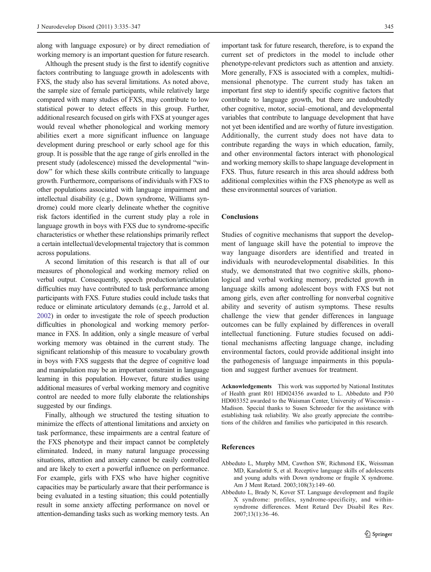<span id="page-10-0"></span>along with language exposure) or by direct remediation of working memory is an important question for future research.

Although the present study is the first to identify cognitive factors contributing to language growth in adolescents with FXS, the study also has several limitations. As noted above, the sample size of female participants, while relatively large compared with many studies of FXS, may contribute to low statistical power to detect effects in this group. Further, additional research focused on girls with FXS at younger ages would reveal whether phonological and working memory abilities exert a more significant influence on language development during preschool or early school age for this group. It is possible that the age range of girls enrolled in the present study (adolescence) missed the developmental "window" for which these skills contribute critically to language growth. Furthermore, comparisons of individuals with FXS to other populations associated with language impairment and intellectual disability (e.g., Down syndrome, Williams syndrome) could more clearly delineate whether the cognitive risk factors identified in the current study play a role in language growth in boys with FXS due to syndrome-specific characteristics or whether these relationships primarily reflect a certain intellectual/developmental trajectory that is common across populations.

A second limitation of this research is that all of our measures of phonological and working memory relied on verbal output. Consequently, speech production/articulation difficulties may have contributed to task performance among participants with FXS. Future studies could include tasks that reduce or eliminate articulatory demands (e.g., Jarrold et al. [2002](#page-12-0)) in order to investigate the role of speech production difficulties in phonological and working memory performance in FXS. In addition, only a single measure of verbal working memory was obtained in the current study. The significant relationship of this measure to vocabulary growth in boys with FXS suggests that the degree of cognitive load and manipulation may be an important constraint in language learning in this population. However, future studies using additional measures of verbal working memory and cognitive control are needed to more fully elaborate the relationships suggested by our findings.

Finally, although we structured the testing situation to minimize the effects of attentional limitations and anxiety on task performance, these impairments are a central feature of the FXS phenotype and their impact cannot be completely eliminated. Indeed, in many natural language processing situations, attention and anxiety cannot be easily controlled and are likely to exert a powerful influence on performance. For example, girls with FXS who have higher cognitive capacities may be particularly aware that their performance is being evaluated in a testing situation; this could potentially result in some anxiety affecting performance on novel or attention-demanding tasks such as working memory tests. An

important task for future research, therefore, is to expand the current set of predictors in the model to include other phenotype-relevant predictors such as attention and anxiety. More generally, FXS is associated with a complex, multidimensional phenotype. The current study has taken an important first step to identify specific cognitive factors that contribute to language growth, but there are undoubtedly other cognitive, motor, social–emotional, and developmental variables that contribute to language development that have not yet been identified and are worthy of future investigation. Additionally, the current study does not have data to contribute regarding the ways in which education, family, and other environmental factors interact with phonological and working memory skills to shape language development in FXS. Thus, future research in this area should address both additional complexities within the FXS phenotype as well as these environmental sources of variation.

# **Conclusions**

Studies of cognitive mechanisms that support the development of language skill have the potential to improve the way language disorders are identified and treated in individuals with neurodevelopmental disabilities. In this study, we demonstrated that two cognitive skills, phonological and verbal working memory, predicted growth in language skills among adolescent boys with FXS but not among girls, even after controlling for nonverbal cognitive ability and severity of autism symptoms. These results challenge the view that gender differences in language outcomes can be fully explained by differences in overall intellectual functioning. Future studies focused on additional mechanisms affecting language change, including environmental factors, could provide additional insight into the pathogenesis of language impairments in this population and suggest further avenues for treatment.

Acknowledgements This work was supported by National Institutes of Health grant R01 HD024356 awarded to L. Abbeduto and P30 HD003352 awarded to the Waisman Center, University of Wisconsin - Madison. Special thanks to Susen Schroeder for the assistance with establishing task reliability. We also greatly appreciate the contributions of the children and families who participated in this research.

### References

- Abbeduto L, Murphy MM, Cawthon SW, Richmond EK, Weissman MD, Karadottir S, et al. Receptive language skills of adolescents and young adults with Down syndrome or fragile X syndrome. Am J Ment Retard. 2003;108(3):149–60.
- Abbeduto L, Brady N, Kover ST. Language development and fragile X syndrome: profiles, syndrome-specificity, and withinsyndrome differences. Ment Retard Dev Disabil Res Rev. 2007;13(1):36–46.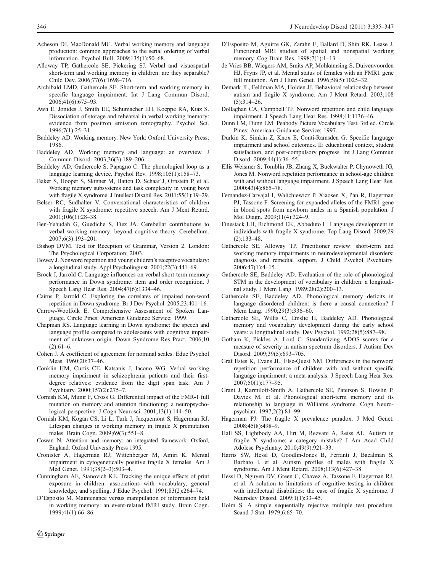- <span id="page-11-0"></span>Acheson DJ, MacDonald MC. Verbal working memory and language production: common approaches to the serial ordering of verbal information. Psychol Bull. 2009;135(1):50–68.
- Alloway TP, Gathercole SE, Pickering SJ. Verbal and visuospatial short-term and working memory in children: are they separable? Child Dev. 2006;77(6):1698–716.
- Archibald LMD, Gathercole SE. Short-term and working memory in specific language impairment. Int J Lang Commun Disord. 2006;41(6):675–93.
- Awh E, Jonides J, Smith EE, Schumacher EH, Koeppe RA, Ktaz S. Dissociation of storage and rehearsal in verbal working memory: evidence from positron emission tomography. Psychol Sci. 1996;7(1):25–31.
- Baddeley AD. Working memory. New York: Oxford University Press; 1986.
- Baddeley AD. Working memory and language: an overview. J Commun Disord. 2003;36(3):189–206.
- Baddeley AD, Gathercole S, Papagno C. The phonological loop as a language learning device. Psychol Rev. 1998;105(1):158–73.
- Baker S, Hooper S, Skinner M, Hatton D, Schaaf J, Ornstein P, et al. Working memory subsystems and task complexity in young boys with fragile X syndrome. J Intellect Disabil Res. 2011;55(1):19–29.
- Belser RC, Sudhalter V. Conversational characteristics of children with fragile X syndrome: repetitive speech. Am J Ment Retard. 2001;106(1):28–38.
- Ben-Yehudah G, Guediche S, Fiez JA. Cerebellar contributions to verbal working memory: beyond cognitive theory. Cerebellum. 2007;6(3):193–201.
- Bishop DVM. Test for Reception of Grammar, Version 2. London: The Psychological Corporation; 2003.
- Bowey J. Nonword repetition and young children's receptive vocabulary: a longitudinal study. Appl Psycholinguist. 2001;22(3):441–69.
- Brock J, Jarrold C. Language influences on verbal short-term memory performance in Down syndrome: item and order recognition. J Speech Lang Hear Res. 2004;47(6):1334–46.
- Cairns P, Jarrold C. Exploring the correlates of impaired non-word repetition in Down syndrome. Br J Dev Psychol. 2005;23:401–16.
- Carrow-Woolfolk E. Comprehensive Assessment of Spoken Language. Circle Pines: American Guidance Service; 1999.
- Chapman RS. Language learning in Down syndrome: the speech and language profile compared to adolescents with cognitive impairment of unknown origin. Down Syndrome Res Pract. 2006;10  $(2):61-6.$
- Cohen J. A coefficient of agreement for nominal scales. Educ Psychol Meas. 1960;20:37–46.
- Conklin HM, Curtis CE, Katsanis J, Iacono WG. Verbal working memory impairment in schizophrenia patients and their firstdegree relatives: evidence from the digit span task. Am J Psychiatry. 2000;157(2):275–7.
- Cornish KM, Munir F, Cross G. Differential impact of the FMR-1 full mutation on memory and attention functioning: a neuropsychological perspective. J Cogn Neurosci. 2001;13(1):144–50.
- Cornish KM, Kogan CS, Li L, Turk J, Jacquemont S, Hagerman RJ. Lifespan changes in working memory in fragile X premutation males. Brain Cogn. 2009;69(3):551–8.
- Cowan N. Attention and memory: an integrated framework. Oxford, England: Oxford University Press 1995.
- Cronister A, Hagerman RJ, Wittenberger M, Amiri K. Mental impairment in cytogenetically positive fragile X females. Am J Med Genet. 1991;38(2–3):503–4.
- Cunningham AE, Stanovich KE. Tracking the unique effects of print exposure in children: associations with vocabulary, general knowledge, and spelling. J Educ Psychol. 1991;83(2):264–74.
- D'Esposito M. Maintenance versus manipulation of information held in working memory: an event-related fMRI study. Brain Cogn. 1999;41(1):66–86.
- D'Esposito M, Aguirre GK, Zarahn E, Ballard D, Shin RK, Lease J. Functional MRI studies of spatial and nonspatial working memory. Cog Brain Res. 1998;7(1):1–13.
- de Vries BB, Wiegers AM, Smits AP, Mohkamsing S, Duivenvoorden HJ, Fryns JP, et al. Mental status of females with an FMR1 gene full mutation. Am J Hum Genet. 1996;58(5):1025–32.
- Demark JL, Feldman MA, Holden JJ. Behavioral relationship between autism and fragile X syndrome. Am J Ment Retard. 2003;108 (5):314–26.
- Dollaghan CA, Campbell TF. Nonword repetition and child language impairment. J Speech Lang Hear Res. 1998;41:1136–46.
- Dunn LM, Dunn LM. Peabody Picture Vocabulary Test. 3rd ed. Circle Pines: American Guidance Service; 1997.
- Durkin K, Simkin Z, Knox E, Conti-Ramsden G. Specific language impairment and school outcomes. II: educational context, student satisfaction, and post-compulsory progress. Int J Lang Commun Disord. 2009;44(1):36–55.
- Ellis Weismer S, Tomblin JB, Zhang X, Buckwalter P, Chynoweth JG, Jones M. Nonword repetition performance in school-age children with and without language impairment. J Speech Lang Hear Res. 2000;43(4):865–78.
- Fernandez-Carvajal I, Walichiewicz P, Xiaosen X, Pan R, Hagerman PJ, Tassone F. Screening for expanded alleles of the FMR1 gene in blood spots from newborn males in a Spanish population. J Mol Diagn. 2009;11(4):324–9.
- Finestack LH, Richmond EK, Abbeduto L. Language development in individuals with fragile X syndrome. Top Lang Disord. 2009;29  $(2):133-48$ .
- Gathercole SE, Alloway TP. Practitioner review: short-term and working memory impairments in neurodevelopmental disorders: diagnosis and remedial support. J Child Psychol Psychiatry. 2006;47(1):4–15.
- Gathercole SE, Baddeley AD. Evaluation of the role of phonological STM in the development of vocabulary in children: a longitudinal study. J Mem Lang. 1989;28(2):200–13.
- Gathercole SE, Baddeley AD. Phonological memory deficits in language disordered children: is there a causal connection? J Mem Lang. 1990;29(3):336–60.
- Gathercole SE, Willis C, Emslie H, Baddeley AD. Phonological memory and vocabulary development during the early school years: a longitudinal study. Dev Psychol. 1992;28(5):887–98.
- Gotham K, Pickles A, Lord C. Standardizing ADOS scores for a measure of severity in autism spectrum disorders. J Autism Dev Disord. 2009;39(5):693–705.
- Graf Estes K, Evans JL, Else-Quest NM. Differences in the nonword repetition performance of children with and without specific language impairment: a meta-analysis. J Speech Lang Hear Res. 2007;50(1):177–95.
- Grant J, Karmiloff-Smith A, Gathercole SE, Paterson S, Howlin P, Davies M, et al. Phonological short-term memory and its relationship to language in Williams syndrome. Cogn Neuropsychiatr. 1997;2(2):81–99.
- Hagerman PJ. The fragile X prevalence paradox. J Med Genet. 2008;45(8):498–9.
- Hall SS, Lightbody AA, Hirt M, Rezvani A, Reiss AL. Autism in fragile X syndrome: a category mistake? J Am Acad Child Adolesc Psychiatry. 2010;49(9):921–33.
- Harris SW, Hessl D, Goodlin-Jones B, Ferranti J, Bacalman S, Barbato I, et al. Autism profiles of males with fragile X syndrome. Am J Ment Retard. 2008;113(6):427–38.
- Hessl D, Nguyen DV, Green C, Chavez A, Tassone F, Hagerman RJ, et al. A solution to limitations of cognitive testing in children with intellectual disabilities: the case of fragile X syndrome. J Neurodev Disord. 2009;1(1):33–45.
- Holm S. A simple sequentially rejective multiple test procedure. Scand J Stat. 1979;6:65–70.